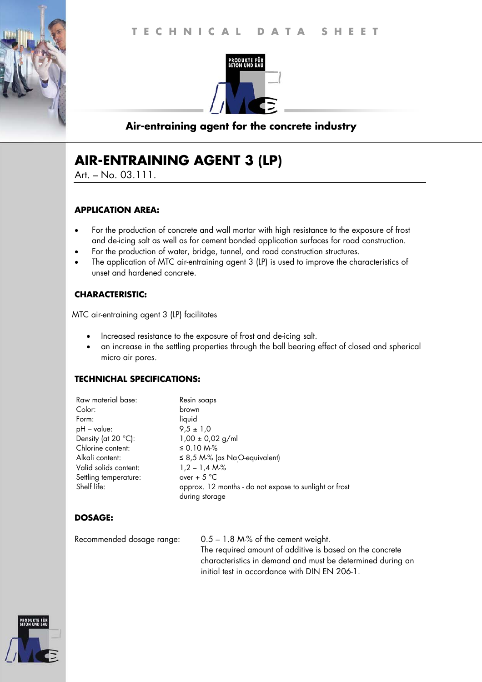

## **Air-entraining agent for the concrete industry**

# **AIR-ENTRAINING AGENT 3 (LP)**

Art. – No. 03.111.

#### **APPLICATION AREA:**

- For the production of concrete and wall mortar with high resistance to the exposure of frost and de-icing salt as well as for cement bonded application surfaces for road construction.
- For the production of water, bridge, tunnel, and road construction structures.
- The application of MTC air-entraining agent 3 (LP) is used to improve the characteristics of unset and hardened concrete.

#### **CHARACTERISTIC:**

MTC air-entraining agent 3 (LP) facilitates

- Increased resistance to the exposure of frost and de-icing salt.
- an increase in the settling properties through the ball bearing effect of closed and spherical micro air pores.

#### **TECHNICHAL SPECIFICATIONS:**

| Raw material base:    | Resin soaps                                            |
|-----------------------|--------------------------------------------------------|
| Color:                | brown                                                  |
| Form:                 | liquid                                                 |
| $pH - value$ :        | $9,5 \pm 1,0$                                          |
| Density (at 20 °C):   | $1,00 \pm 0,02$ g/ml                                   |
| Chlorine content:     | $\leq$ 0.10 M $\%$                                     |
| Alkali content:       | $\leq$ 8,5 M-% (as Na <sub>.</sub> O-equivalent)       |
| Valid solids content: | $1,2 - 1,4 Mo$                                         |
| Settling temperature: | over + $5^{\circ}$ C                                   |
| Shelf life:           | approx. 12 months - do not expose to sunlight or frost |
|                       | during storage                                         |

## **DOSAGE:**

Recommended dosage range: 0.5 – 1.8 M-% of the cement weight. The required amount of additive is based on the concrete characteristics in demand and must be determined during an initial test in accordance with DIN EN 206-1.